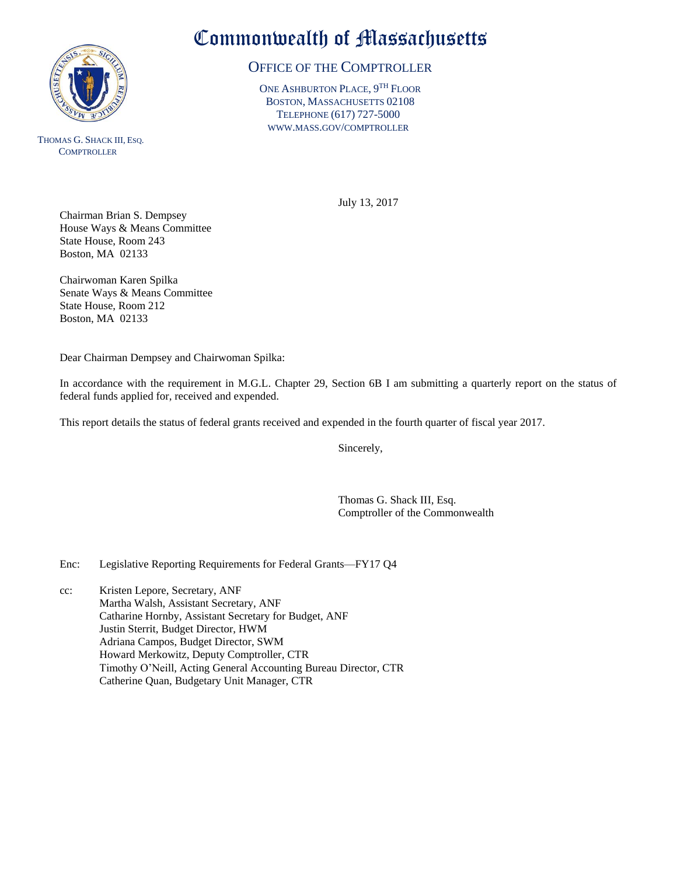

THOMAS G. SHACK III, ESQ. **COMPTROLLER** 

## Commonwealth of Massachusetts

## OFFICE OF THE COMPTROLLER

ONE ASHBURTON PLACE, 9<sup>TH</sup> FLOOR BOSTON, MASSACHUSETTS 02108 TELEPHONE (617) 727-5000 WWW.MASS.GOV/COMPTROLLER

July 13, 2017

Chairman Brian S. Dempsey House Ways & Means Committee State House, Room 243 Boston, MA 02133

Chairwoman Karen Spilka Senate Ways & Means Committee State House, Room 212 Boston, MA 02133

Dear Chairman Dempsey and Chairwoman Spilka:

In accordance with the requirement in M.G.L. Chapter 29, Section 6B I am submitting a quarterly report on the status of federal funds applied for, received and expended.

This report details the status of federal grants received and expended in the fourth quarter of fiscal year 2017.

Sincerely,

Thomas G. Shack III, Esq. Comptroller of the Commonwealth

Enc: Legislative Reporting Requirements for Federal Grants—FY17 Q4

cc: Kristen Lepore, Secretary, ANF Martha Walsh, Assistant Secretary, ANF Catharine Hornby, Assistant Secretary for Budget, ANF Justin Sterrit, Budget Director, HWM Adriana Campos, Budget Director, SWM Howard Merkowitz, Deputy Comptroller, CTR Timothy O'Neill, Acting General Accounting Bureau Director, CTR Catherine Quan, Budgetary Unit Manager, CTR